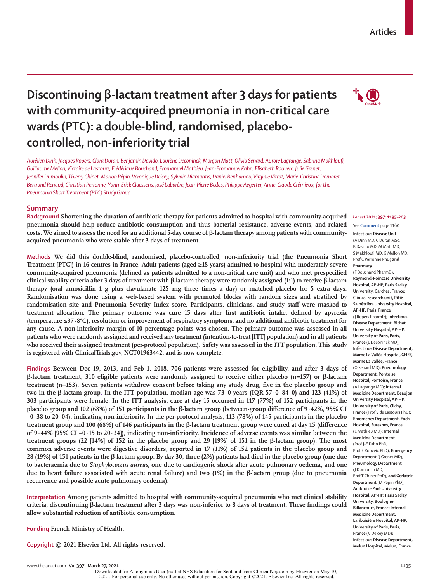# **Discontinuing β-lactam treatment after 3 days for patients with community-acquired pneumonia in non-critical care wards(PTC): a double-blind, randomised, placebocontrolled, non-inferiority trial**

*Aurélien Dinh, Jacques Ropers, Clara Duran, Benjamin Davido, Laurène Deconinck, Morgan Matt, Olivia Senard, Aurore Lagrange, Sabrina Makhloufi, Guillaume Mellon, Victoire de Lastours, Frédérique Bouchand, Emmanuel Mathieu, Jean-Emmanuel Kahn, Elisabeth Rouveix, Julie Grenet, Jennifer Dumoulin, Thierry Chinet, Marion Pépin, Véronique Delcey, Sylvain Diamantis, Daniel Benhamou, Virginie Vitrat, Marie-Christine Dombret, Bertrand Renaud, Christian Perronne, Yann-Erick Claessens, José Labarère, Jean-Pierre Bedos, Philippe Aegerter, Anne-Claude Crémieux, for the Pneumonia Short Treatment (PTC) Study Group*

# **Summary**

**Background Shortening the duration of antibiotic therapy for patients admitted to hospital with community-acquired pneumonia should help reduce antibiotic consumption and thus bacterial resistance, adverse events, and related costs. We aimed to assess the need for an additional 5-day course of β-lactam therapy among patients with communityacquired pneumonia who were stable after 3 days of treatment.**

**Methods We did this double-blind, randomised, placebo-controlled, non-inferiority trial (the Pneumonia Short Treatment [PTC]) in 16 centres in France. Adult patients (aged ≥18 years) admitted to hospital with moderately severe community-acquired pneumonia (defined as patients admitted to a non-critical care unit) and who met prespecified clinical stability criteria after 3 days of treatment with β-lactam therapy were randomly assigned (1:1) to receive β-lactam therapy (oral amoxicillin 1 g plus clavulanate 125 mg three times a day) or matched placebo for 5 extra days. Randomisation was done using a web-based system with permuted blocks with random sizes and stratified by randomisation site and Pneumonia Severity Index score. Participants, clinicians, and study staff were masked to treatment allocation. The primary outcome was cure 15 days after first antibiotic intake, defined by apyrexia (temperature ≤37·8°C), resolution or improvement of respiratory symptoms, and no additional antibiotic treatment for any cause. A non-inferiority margin of 10 percentage points was chosen. The primary outcome was assessed in all patients who were randomly assigned and received any treatment (intention-to-treat [ITT] population) and in all patients who received their assigned treatment (per-protocol population). Safety was assessed in the ITT population. This study is registered with ClinicalTrials.gov, NCT01963442, and is now complete.**

**Findings Between Dec 19, 2013, and Feb 1, 2018, 706 patients were assessed for eligibility, and after 3 days of β-lactam treatment, 310 eligible patients were randomly assigned to receive either placebo (n=157) or β-lactam treatment (n=153). Seven patients withdrew consent before taking any study drug, five in the placebo group and two in the β-lactam group. In the ITT population, median age was 73·0 years (IQR 57·0–84·0) and 123 (41%) of 303 participants were female. In the ITT analysis, cure at day 15 occurred in 117 (77%) of 152 participants in the placebo group and 102 (68%) of 151 participants in the β-lactam group (between-group difference of 9·42%, 95% CI –0·38 to 20·04), indicating non-inferiority. In the per-protocol analysis, 113 (78%) of 145 participants in the placebo treatment group and 100 (68%) of 146 participants in the β-lactam treatment group were cured at day 15 (difference of 9·44% [95% CI –0·15 to 20·34]), indicating non-inferiority. Incidence of adverse events was similar between the treatment groups (22 [14%] of 152 in the placebo group and 29 [19%] of 151 in the β-lactam group). The most common adverse events were digestive disorders, reported in 17 (11%) of 152 patients in the placebo group and 28 (19%) of 151 patients in the β-lactam group. By day 30, three (2%) patients had died in the placebo group (one due to bacteraemia due to** *Staphylococcus aureus***, one due to cardiogenic shock after acute pulmonary oedema, and one due to heart failure associated with acute renal failure) and two (1%) in the β-lactam group (due to pneumonia recurrence and possible acute pulmonary oedema).**

**Interpretation Among patients admitted to hospital with community-acquired pneumonia who met clinical stability criteria, discontinuing β-lactam treatment after 3 days was non-inferior to 8 days of treatment. These findings could allow substantial reduction of antibiotic consumption.**

**Funding French Ministry of Health.**

**Copyright © 2021 Elsevier Ltd. All rights reserved.**

#### *Lancet* **2021; 397: 1195–203**

See **Comment** page 1160

**Infectious Disease Unit**  (A Dinh MD, C Duran MSc, B Davido MD, M Matt MD, S Makhloufi MD, G Mellon MD, Prof C Perronne PhD) **and Pharmacy**  (F Bouchand PharmD)**, Raymond-Poincaré University Hospital, AP-HP, Paris Saclay University, Garches, France; Clinical research unit, Pitié-Salpêtrière University Hospital, AP-HP, Paris, France**  (J Ropers PharmD)**; Infectious Disease Department, Bichat University Hospital, AP-HP, University of Paris, Paris, France** (L Deconinck MD)**; Infectious Disease Department, Marne La Vallée Hospital, GHEF, Marne La Vallée, France**  (O Senard MD)**; Pneumology Department, Pontoise Hospital, Pontoise, France**  (A Lagrange MD)**; Internal Medicine Department, Beaujon University Hospital, AP-HP, University of Paris, Clichy, France** (Prof V de Lastours PhD)**; Emergency Department, Foch Hospital, Suresnes, France**  (E Mathieu MD)**; Internal Medicine Department**  (Prof J-E Kahn PhD, Prof E Rouveix PhD)**, Emergency Department** (J Grenet MD)**, Pneumology Department**  (J Dumoulin MD, Prof T Chinet PhD)**, and Geriatric Department** (M Pépin PhD)**, Ambroise Paré University Hospital, AP-HP, Paris Saclay University, Boulogne-Billancourt, France; Internal Medicine Department, Lariboisière Hospital, AP-HP, University of Paris, Paris, France** (V Delcey MD)**; Infectious Disease Department, Melun Hospital, Melun, France**

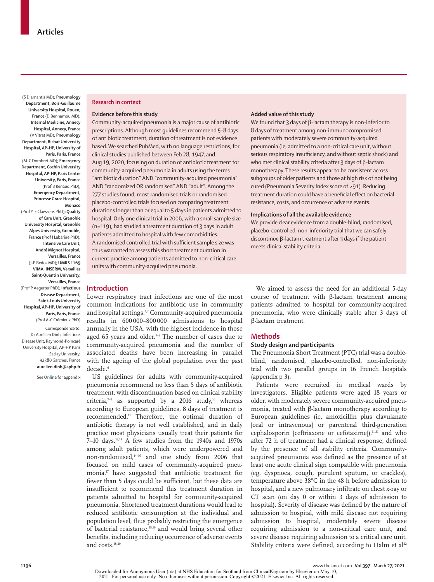(S Diamantis MD)**; Pneumology Department, Bois-Guillaume University Hospital, Rouen, France** (D Benhamou MD)**; Internal Medicine, Annecy Hospital, Annecy, France**  (V Vitrat MD)**; Pneumology Department, Bichat University Hospital, AP-HP, University of Paris, Paris, France**  (M-C Dombret MD)**; Emergency Department, Cochin University Hospital, AP-HP, Paris Centre University, Paris, France**  (Prof B Renaud PhD)**; Emergency Department, Princesse Grace Hospital, Monaco**  (Prof Y-E Claessens PhD)**; Quality of Care Unit, Grenoble University Hospital, Grenoble Alpes University, Grenoble, France** (Prof J Labarère PhD)**; Intensive Care Unit, André Mignot Hospital, Versailles, France**  (J-P Bedos MD)**; UMRS 1169 VIMA, INSERM, Versailles Saint-Quentin University, Versailles, France**  (Prof P Aegerter PhD)**; Infectious Disease Department, Saint-Louis University Hospital, AP-HP, University of Paris, Paris, France**  (Prof A-C Crémieux PhD) Correspondence to: Dr Aurélien Dinh, Infectious Disease Unit, Raymond-Poincaré

University Hospital, AP-HP Paris Saclay University, 92380 Garches, France **aurelien.dinh@aphp.fr**

See **Online** for appendix

### **Research in context**

## **Evidence before this study**

Community-acquired pneumonia is a major cause of antibiotic prescriptions. Although most guidelines recommend 5–8 days of antibiotic treatment, duration of treatment is not evidence based. We searched PubMed, with no language restrictions, for clinical studies published between Feb 28, 1947, and Aug 19, 2020, focusing on duration of antibiotic treatment for community-acquired pneumonia in adults using the terms "antibiotic duration" AND "community-acquired pneumonia" AND "randomized OR randomised" AND "adult". Among the 277 studies found, most randomised trials or randomised placebo-controlled trials focused on comparing treatment durations longer than or equal to 5 days in patients admitted to hospital. Only one clinical trial in 2006, with a small sample size (n=119), had studied a treatment duration of 3 days in adult patients admitted to hospital with few comorbidities. A randomised controlled trial with sufficient sample size was thus warranted to assess this short treatment duration in current practice among patients admitted to non-critical care units with community-acquired pneumonia.

#### **Added value of this study**

We found that 3 days of β-lactam therapy is non-inferior to 8 days of treatment among non-immunocompromised patients with moderately severe community-acquired pneumonia (ie, admitted to a non-critical care unit, without serious respiratory insufficiency, and without septic shock) and who met clinical stability criteria after 3 days of β-lactam monotherapy. These results appear to be consistent across subgroups of older patients and those at high risk of not being cured (Pneumonia Severity Index score of >91). Reducing treatment duration could have a beneficial effect on bacterial resistance, costs, and occurrence of adverse events.

#### **Implications of all the available evidence**

We provide clear evidence from a double-blind, randomised, placebo-controlled, non-inferiority trial that we can safely discontinue β-lactam treatment after 3 days if the patient meets clinical stability criteria.

# **Introduction**

Lower respiratory tract infections are one of the most common indications for antibiotic use in community and hospital settings.<sup>1,2</sup> Community-acquired pneumonia results in 600 000–800 000 admissions to hospital annually in the USA, with the highest incidence in those aged 65 years and older.<sup>3-5</sup> The number of cases due to community-acquired pneumonia and the number of associated deaths have been increasing in parallel with the ageing of the global population over the past decade.<sup>6</sup>

US guidelines for adults with community-acquired pneumonia recommend no less than 5 days of antibiotic treatment, with discontinuation based on clinical stability criteria,<sup>7-9</sup> as supported by a 2016 study,<sup>10</sup> whereas according to European guidelines, 8 days of treatment is recommended.11 Therefore, the optimal duration of antibiotic therapy is not well established, and in daily practice most physicians usually treat their patients for  $7-10$  days.<sup>12,13</sup> A few studies from the 1940s and 1970s among adult patients, which were underpowered and non-randomised,14–16 and one study from 2006 that focused on mild cases of community-acquired pneumonia, $\mathbf{v}$  have suggested that antibiotic treatment for fewer than 5 days could be sufficient, but these data are insufficient to recommend this treatment duration in patients admitted to hospital for community-acquired pneumonia. Shortened treatment durations would lead to reduced antibiotic consumption at the individual and population level, thus probably restricting the emergence of bacterial resistance,18,19 and would bring several other benefits, including reducing occurrence of adverse events and costs.18,20

We aimed to assess the need for an additional 5-day course of treatment with β-lactam treatment among patients admitted to hospital for community-acquired pneumonia, who were clinically stable after 3 days of β-lactam treatment.

## **Methods**

## **Study design and participants**

The Pneumonia Short Treatment (PTC) trial was a doubleblind, randomised, placebo-controlled, non-inferiority trial with two parallel groups in 16 French hospitals (appendix p 3).

Patients were recruited in medical wards by investigators. Eligible patients were aged 18 years or older, with moderately severe community-acquired pneumonia, treated with β-lactam monotherapy according to European guidelines (ie, amoxicillin plus clavulanate [oral or intravenous] or parenteral third-generation cephalosporin [ceftriaxone or cefotaxime]), $11,21$  and who after 72 h of treatment had a clinical response, defined by the presence of all stability criteria. Communityacquired pneumonia was defined as the presence of at least one acute clinical sign compatible with pneumonia (eg, dyspnoea, cough, purulent sputum, or crackles), temperature above 38°C in the 48 h before admission to hospital, and a new pulmonary infiltrate on chest x-ray or CT scan (on day 0 or within 3 days of admission to hospital). Severity of disease was defined by the nature of admission to hospital, with mild disease not requiring admission to hospital, moderately severe disease requiring admission to a non-critical care unit, and severe disease requiring admission to a critical care unit. Stability criteria were defined, according to Halm et al<sup>22</sup>

**<sup>1196</sup>** www.thelancet.com**Vol 397 March 27, 2021**

Downloaded for Anonymous User (n/a) at NHS Education for Scotland from ClinicalKey.com by Elsevier on May 10, 2021. For personal use only. No other uses without permission. Copyright ©2021. Elsevier Inc. All rights reserved.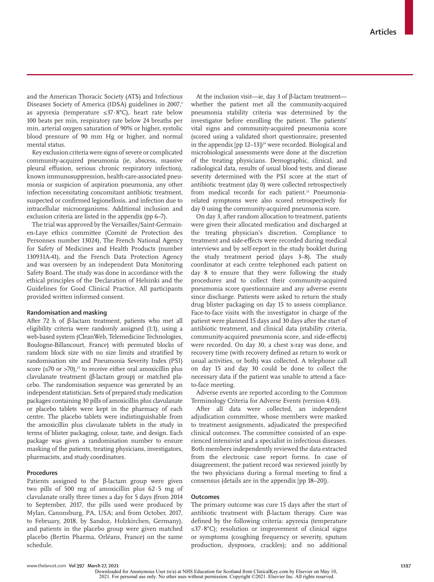and the American Thoracic Society (ATS) and Infectious Diseases Society of America (IDSA) guidelines in 2007,<sup>4</sup> as apyrexia (temperature ≤37·8°C), heart rate below 100 beats per min, respiratory rate below 24 breaths per min, arterial oxygen saturation of 90% or higher, systolic blood pressure of 90 mm Hg or higher, and normal mental status.

Key exclusion criteria were signs of severe or complicated community-acquired pneumonia (ie, abscess, massive pleural effusion, serious chronic respiratory infection), known immunosuppression, health-care-associated pneumonia or suspicion of aspiration pneumonia, any other infection necessitating concomitant antibiotic treatment, suspected or confirmed legionellosis, and infection due to intracellular microorganisms. Additional inclusion and exclusion criteria are listed in the appendix (pp 6–7).

The trial was approved by the Versailles/Saint-Germainen-Laye ethics committee (Comité de Protection des Personnes number 13024), The French National Agency for Safety of Medicines and Health Products (number 130931A-41), and the French Data Protection Agency and was overseen by an independent Data Monitoring Safety Board. The study was done in accordance with the ethical principles of the Declaration of Helsinki and the Guidelines for Good Clinical Practice. All participants provided written informed consent.

# **Randomisation and masking**

After 72 h of β-lactam treatment, patients who met all eligibility criteria were randomly assigned (1:1), using a web-based system (CleanWeb, Telemedicine Technologies, Boulogne-Billancourt, France) with permuted blocks of random block size with no size limits and stratified by randomisation site and Pneumonia Severity Index (PSI) score ( $\leq$ 70 or  $>$ 70),<sup>23</sup> to receive either oral amoxicillin plus clavulanate treatment (β-lactam group) or matched placebo. The randomisation sequence was generated by an independent statistician. Sets of prepared study medication packages containing 30 pills of amoxicillin plus clavulanate or placebo tablets were kept in the pharmacy of each centre. The placebo tablets were indistinguishable from the amoxicillin plus clavulanate tablets in the study in terms of blister packaging, colour, taste, and design. Each package was given a randomisation number to ensure masking of the patients, treating physicians, investigators, pharmacists, and study coordinators.

## **Procedures**

Patients assigned to the β-lactam group were given two pills of 500 mg of amoxicillin plus 62·5 mg of clavulanate orally three times a day for 5 days (from 2014 to September, 2017, the pills used were produced by Mylan, Canonsburg, PA, USA; and from October, 2017, to February, 2018, by Sandoz, Holzkirchen, Germany), and patients in the placebo group were given matched placebo (Bertin Pharma, Orléans, France) on the same schedule.

At the inclusion visit—ie, day 3 of β-lactam treatment whether the patient met all the community-acquired pneumonia stability criteria was determined by the investigator before enrolling the patient. The patients' vital signs and community-acquired pneumonia score (scored using a validated short questionnaire, presented in the appendix  $[pp 12-13]$ <sup>24</sup> were recorded. Biological and microbiological assessments were done at the discretion of the treating physicians. Demographic, clinical, and radiological data, results of usual blood tests, and disease severity determined with the PSI score at the start of antibiotic treatment (day 0) were collected retrospectively from medical records for each patient.<sup>23</sup> Pneumoniarelated symptoms were also scored retrospectively for day 0 using the community-acquired pneumonia score.

On day 3, after random allocation to treatment, patients were given their allocated medication and discharged at the treating physician's discretion. Compliance to treatment and side-effects were recorded during medical interviews and by self-report in the study booklet during the study treatment period (days 3–8). The study coordinator at each centre telephoned each patient on day 8 to ensure that they were following the study procedures and to collect their community-acquired pneumonia score questionnaire and any adverse events since discharge. Patients were asked to return the study drug blister packaging on day 15 to assess compliance. Face-to-face visits with the investigator in charge of the patient were planned 15 days and 30 days after the start of antibiotic treatment, and clinical data (stability criteria, community-acquired pneumonia score, and side-effects) were recorded. On day 30, a chest x-ray was done, and recovery time (with recovery defined as return to work or usual activities, or both) was collected. A telephone call on day 15 and day 30 could be done to collect the necessary data if the patient was unable to attend a faceto-face meeting.

Adverse events are reported according to the Common Terminology Criteria for Adverse Events (version 4.03).

After all data were collected, an independent adjudication committee, whose members were masked to treatment assignments, adjudicated the prespecified clinical outcomes. The committee consisted of an experienced intensivist and a specialist in infectious diseases. Both members independently reviewed the data extracted from the electronic case report forms. In case of disagreement, the patient record was reviewed jointly by the two physicians during a formal meeting to find a consensus (details are in the appendix [pp 18–20]).

### **Outcomes**

The primary outcome was cure 15 days after the start of antibiotic treatment with  $β$ -lactam therapy. Cure was defined by the following criteria: apyrexia (temperature ≤37·8°C); resolution or improvement of clinical signs or symptoms (coughing frequency or severity, sputum production, dyspnoea, crackles); and no additional

Downloaded for Anonymous User (n/a) at NHS Education for Scotland from ClinicalKey.com by Elsevier on May 10, 2021. For personal use only. No other uses without permission. Copyright ©2021. Elsevier Inc. All rights reserved.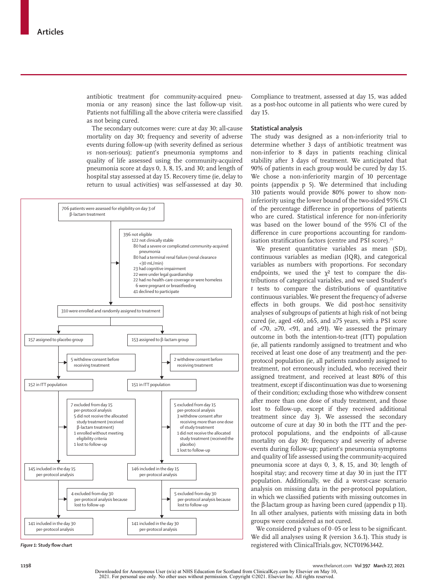antibiotic treatment (for community-acquired pneumonia or any reason) since the last follow-up visit. Patients not fulfilling all the above criteria were classified as not being cured.

The secondary outcomes were: cure at day 30; all-cause mortality on day 30; frequency and severity of adverse events during follow-up (with severity defined as serious *vs* non-serious); patient's pneumonia symptoms and quality of life assessed using the community-acquired pneumonia score at days 0, 3, 8, 15, and 30; and length of hospital stay assessed at day 15. Recovery time (ie, delay to return to usual activities) was self-assessed at day 30.



Compliance to treatment, assessed at day 15, was added as a post-hoc outcome in all patients who were cured by day 15.

## **Statistical analysis**

The study was designed as a non-inferiority trial to determine whether 3 days of antibiotic treatment was non-inferior to 8 days in patients reaching clinical stability after 3 days of treatment. We anticipated that 90% of patients in each group would be cured by day 15. We chose a non-inferiority margin of 10 percentage points (appendix p 5). We determined that including 310 patients would provide 80% power to show noninferiority using the lower bound of the two-sided 95% CI of the percentage difference in proportions of patients who are cured. Statistical inference for non-inferiority was based on the lower bound of the 95% CI of the difference in cure proportions accounting for randomisation stratification factors (centre and PSI score).<sup>25</sup>

We present quantitative variables as mean (SD), continuous variables as median (IQR), and categorical variables as numbers with proportions. For secondary endpoints, we used the  $\chi^2$  test to compare the distributions of categorical variables, and we used Student's *t* tests to compare the distributions of quantitative continuous variables. We present the frequency of adverse effects in both groups. We did post-hoc sensitivity analyses of subgroups of patients at high risk of not being cured (ie, aged <60, ≥65, and ≥75 years, with a PSI score of <70, ≥70, <91, and ≥91). We assessed the primary outcome in both the intention-to-treat (ITT) population (ie, all patients randomly assigned to treatment and who received at least one dose of any treatment) and the perprotocol population (ie, all patients randomly assigned to treatment, not erroneously included, who received their assigned treatment, and received at least 80% of this treatment, except if discontinuation was due to worsening of their condition; excluding those who withdrew consent after more than one dose of study treatment, and those lost to follow-up, except if they received additional treatment since day 3). We assessed the secondary outcome of cure at day 30 in both the ITT and the perprotocol populations, and the endpoints of all-cause mortality on day 30; frequency and severity of adverse events during follow-up; patient's pneumonia symptoms and quality of life assessed using the community-acquired pneumonia score at days 0, 3, 8, 15, and 30; length of hospital stay; and recovery time at day 30 in just the ITT population. Additionally, we did a worst-case scenario analysis on missing data in the per-protocol population, in which we classified patients with missing outcomes in the β-lactam group as having been cured (appendix p 11). In all other analyses, patients with missing data in both groups were considered as not cured.

We considered p values of  $0.05$  or less to be significant. We did all analyses using R (version 3.6.1). This study is *Figure 1:* **Study flow chart** registered with ClinicalTrials.gov, NCT01963442.

Downloaded for Anonymous User (n/a) at NHS Education for Scotland from ClinicalKey.com by Elsevier on May 10, 2021. For personal use only. No other uses without permission. Copyright ©2021. Elsevier Inc. All rights reserved.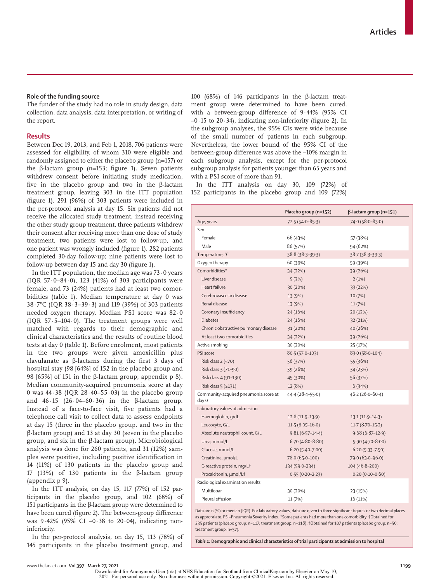## **Role of the funding source**

The funder of the study had no role in study design, data collection, data analysis, data interpretation, or writing of the report.

# **Results**

Between Dec 19, 2013, and Feb 1, 2018, 706 patients were assessed for eligibility, of whom 310 were eligible and randomly assigned to either the placebo group (n=157) or the β-lactam group (n=153; figure 1). Seven patients withdrew consent before initiating study medication, five in the placebo group and two in the β-lactam treatment group, leaving 303 in the ITT population (figure 1). 291 (96%) of 303 patients were included in the per-protocol analysis at day 15. Six patients did not receive the allocated study treatment, instead receiving the other study group treatment, three patients withdrew their consent after receiving more than one dose of study treatment, two patients were lost to follow-up, and one patient was wrongly included (figure 1). 282 patients completed 30-day follow-up; nine patients were lost to follow-up between day 15 and day 30 (figure 1).

In the ITT population, the median age was  $73.0$  years (IQR 57·0–84·0), 123 (41%) of 303 participants were female, and 73 (24%) patients had at least two comorbidities (table 1). Median temperature at day 0 was 38·7°C (IQR 38·3–39·3) and 119 (39%) of 303 patients needed oxygen therapy. Median PSI score was 82·0 (IQR 57·5–104·0). The treatment groups were well matched with regards to their demographic and clinical characteristics and the results of routine blood tests at day 0 (table 1). Before enrolment, most patients in the two groups were given amoxicillin plus clavulanate as β-lactams during the first 3 days of hospital stay (98 [64%] of 152 in the placebo group and 98 [65%] of 151 in the β-lactam group; appendix p 8). Median community-acquired pneumonia score at day 0 was  $44.38$  (IQR  $28.40-55.03$ ) in the placebo group and  $46.15$  (26.04–60.36) in the β-lactam group. Instead of a face-to-face visit, five patients had a telephone call visit to collect data to assess endpoints at day 15 (three in the placebo group, and two in the β-lactam group) and 13 at day 30 (seven in the placebo group, and six in the β-lactam group). Microbiological analysis was done for 260 patients, and 31 (12%) samples were positive, including positive identification in 14 (11%) of 130 patients in the placebo group and 17 (13%) of 130 patients in the β-lactam group (appendix p 9).

In the ITT analysis, on day 15, 117 (77%) of 152 participants in the placebo group, and 102 (68%) of 151 participants in the β-lactam group were determined to have been cured (figure 2). The between-group difference was 9·42% (95% CI –0·38 to 20·04), indicating noninferiority.

In the per-protocol analysis, on day 15, 113 (78%) of 145 participants in the placebo treatment group, and 100 (68%) of 146 participants in the β-lactam treatment group were determined to have been cured, with a between-group difference of 9·44% (95% CI  $-0.15$  to 20.34), indicating non-inferiority (figure 2). In the subgroup analyses, the 95% CIs were wide because of the small number of patients in each subgroup. Nevertheless, the lower bound of the 95% CI of the between-group difference was above the –10% margin in each subgroup analysis, except for the per-protocol subgroup analysis for patients younger than 65 years and with a PSI score of more than 91.

In the ITT analysis on day 30, 109 (72%) of 152 participants in the placebo group and 109 (72%)

|                                                | Placebo group (n=152) | $\beta$ -lactam group (n=151) |
|------------------------------------------------|-----------------------|-------------------------------|
| Age, years                                     | $72.5(54.0-85.3)$     | $74.0(58.0 - 83.0)$           |
| Sex                                            |                       |                               |
| Female                                         | 66 (43%)              | 57 (38%)                      |
| Male                                           | 86 (57%)              | 94 (62%)                      |
| Temperature, °C                                | 38.8 (38.3-39.3)      | 38.7 (38.3-39.3)              |
| Oxygen therapy                                 | 60 (39%)              | 59 (39%)                      |
| Comorbidities*                                 | 34 (22%)              | 39 (26%)                      |
| Liver disease                                  | 5(3%)                 | 2(1%)                         |
| Heart failure                                  | 30 (20%)              | 33 (22%)                      |
| Cerebrovascular disease                        | 13 (9%)               | 10(7%)                        |
| Renal disease                                  | 13 (9%)               | 11(7%)                        |
| Coronary insufficiency                         | 24 (16%)              | 20(13%)                       |
| <b>Diabetes</b>                                | 24 (16%)              | 32 (21%)                      |
| Chronic obstructive pulmonary disease          | 31 (20%)              | 40 (26%)                      |
| At least two comorbidities                     | 34 (22%)              | 39 (26%)                      |
| Active smoking                                 | 30 (20%)              | 25 (17%)                      |
| PSI score                                      | $80.5(57.0-103)$      | 83.0 (58.0-104)               |
| Risk class 2 (<70)                             | 56 (37%)              | 55 (36%)                      |
| Risk class 3 (71-90)                           | 39 (26%)              | 34 (23%)                      |
| Risk class 4 (91-130)                          | 45 (30%)              | 56 (37%)                      |
| Risk class $5$ ( $\geq$ 131)                   | 12 (8%)               | 6(34%)                        |
| Community-acquired pneumonia score at<br>day 0 | $44.4(28.4 - 55.0)$   | $46.2(26.0-60.4)$             |
| Laboratory values at admission                 |                       |                               |
| Haemoglobin, g/dL                              | $12.8(11.9-13.9)$     | $13.1(11.9-14.3)$             |
| Leucocyte, G/L                                 | $11.5(8.05 - 16.0)$   | $11.7(8.70-15.2)$             |
| Absolute neutrophil count, G/L                 | $9.81(6.57-14.4)$     | $9.68(6.87 - 12.9)$           |
| Urea, mmol/L                                   | $6.70(4.80 - 8.80)$   | $5.90(4.70 - 8.00)$           |
| Glucose, mmol/L                                | $6.20(5.40 - 7.00)$   | $6.20(5.33 - 7.50)$           |
| Creatinine, µmol/L                             | 78.0 (65.0–100)       | 79.0 (63.0-96.0)              |
| C-reactive protein, mg/L†                      | 134 (59.0-234)        | $104(46.8-200)$               |
| Procalcitonin, µmol/L‡                         | $0.55(0.20-2.23)$     | $0.20(0.10 - 0.60)$           |
| Radiological examination results               |                       |                               |
| Multilobar                                     | 30 (20%)              | 23 (15%)                      |
| Pleural effusion                               | 11 (7%)               | 16 (11%)                      |
|                                                |                       |                               |

Data are n (%) or median (IQR). For laboratory values, data are given to three significant figures or two decimal places as appropriate. PSI=Pneumonia Severity Index. \*Some patients had more than one comorbidity. †Obtained for 235 patients (placebo group: n=117; treatment group: n=118). ‡Obtained for 107 patients (placebo group: n=50; treatment group: n=57).

*Table 1:* **Demographic and clinical characteristics of trial participants at admission to hospital**

Downloaded for Anonymous User (n/a) at NHS Education for Scotland from ClinicalKey.com by Elsevier on May 10, 2021. For personal use only. No other uses without permission. Copyright ©2021. Elsevier Inc. All rights reserved.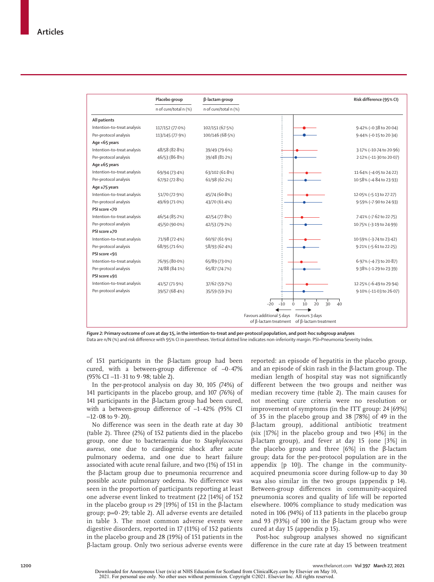|                             | Placebo group         | β-lactam group        |                           |                                                                             | Risk difference (95% CI) |
|-----------------------------|-----------------------|-----------------------|---------------------------|-----------------------------------------------------------------------------|--------------------------|
|                             | n of cure/total n (%) | n of cure/total n (%) |                           |                                                                             |                          |
| All patients                |                       |                       |                           |                                                                             |                          |
| Intention-to-treat analysis | 117/152 (77.0%)       | 102/151 (67.5%)       |                           |                                                                             | 9.42% (-0.38 to 20.04)   |
| Per-protocol analysis       | 113/145 (77.9%)       | 100/146 (68.5%)       |                           |                                                                             | 9.44% (-0.15 to 20.34)   |
| Age <65 years               |                       |                       |                           |                                                                             |                          |
| Intention-to-treat analysis | 48/58 (82.8%)         | 39/49 (79.6%)         |                           |                                                                             | 3.17% (-10.74 to 20.96)  |
| Per-protocol analysis       | 46/53 (86.8%)         | 39/48 (81.2%)         |                           |                                                                             | 2.12% (-11.30 to 20.07)  |
| Age $\ge 65$ years          |                       |                       |                           |                                                                             |                          |
| Intention-to-treat analysis | 69/94 (73.4%)         | 63/102 (61.8%)        |                           |                                                                             | 11.64% (-4.05 to 24.22)  |
| Per-protocol analysis       | 67/92 (72.8%)         | 61/98 (62.2%)         |                           |                                                                             | 10.58% (-4.84 to 23.93)  |
| Age ≥75 years               |                       |                       |                           |                                                                             |                          |
| Intention-to-treat analysis | 51/70 (72.9%)         | 45/74 (60-8%)         |                           |                                                                             | 12.05% (-5.13 to 27.27)  |
| Per-protocol analysis       | 49/69 (71.0%)         | 43/70 (61.4%)         |                           |                                                                             | 9.59% (-7.90 to 24.93)   |
| PSI score <70               |                       |                       |                           |                                                                             |                          |
| Intention-to-treat analysis | 46/54 (85.2%)         | 42/54 (77.8%)         |                           |                                                                             | 7.41% (-7.62 to 22.75)   |
| Per-protocol analysis       | 45/50 (90.0%)         | 42/53 (79.2%)         |                           |                                                                             | 10.75% (-3.19 to 24.99)  |
| PSI score ≥70               |                       |                       |                           |                                                                             |                          |
| Intention-to-treat analysis | 71/98 (72.4%)         | 60/97 (61.9%)         |                           |                                                                             | 10.59% (-3.74 to 23.42)  |
| Per-protocol analysis       | 68/95 (71.6%)         | 58/93 (62-4%)         |                           |                                                                             | 9.21% (-5.61 to 22.25)   |
| PSI score <91               |                       |                       |                           |                                                                             |                          |
| Intention-to-treat analysis | 76/95 (80.0%)         | 65/89 (73.0%)         |                           |                                                                             | 6.97% (-4.73 to 20.87)   |
| Per-protocol analysis       | 74/88 (84.1%)         | 65/87 (74.7%)         |                           |                                                                             | 9.38% (-1.29 to 23.39)   |
| PSI score ≥91               |                       |                       |                           |                                                                             |                          |
| Intention-to-treat analysis | 41/57 (71.9%)         | 37/62 (59.7%)         |                           |                                                                             | 12.25% (-6.49 to 29.94)  |
| Per-protocol analysis       | 39/57 (68-4%)         | 35/59 (59.3%)         |                           |                                                                             | 9.10% (-11.03 to 26.07)  |
|                             |                       |                       | $-20$<br>$-10$            | 20<br>30<br>10<br>40                                                        |                          |
|                             |                       |                       | Favours additional 5 days | Favours 3 days<br>of $\beta$ -lactam treatment of $\beta$ -lactam treatment |                          |

*Figure 2:* **Primary outcome of cure at day 15, in the intention-to-treat and per-protocol population, and post-hoc subgroup analyses** Data are n/N (%) and risk difference with 95% CI in parentheses. Vertical dotted line indicates non-inferiority margin. PSI=Pneumonia Severity Index.

of 151 participants in the β-lactam group had been cured, with a between-group difference of –0·47% (95% CI –11·31 to 9·98; table 2).

In the per-protocol analysis on day 30, 105 (74%) of 141 participants in the placebo group, and 107 (76%) of 141 participants in the β-lactam group had been cured, with a between-group difference of –1·42% (95% CI  $-12.08$  to  $9.20$ ).

No difference was seen in the death rate at day 30 (table 2). Three (2%) of 152 patients died in the placebo group, one due to bacteraemia due to *Staphylococcus aureus*, one due to cardiogenic shock after acute pulmonary oedema, and one due to heart failure associated with acute renal failure, and two (1%) of 151 in the β-lactam group due to pneumonia recurrence and possible acute pulmonary oedema. No difference was seen in the proportion of participants reporting at least one adverse event linked to treatment (22 [14%] of 152 in the placebo group *vs* 29 [19%] of 151 in the β-lactam group; p=0·29; table 2). All adverse events are detailed in table 3. The most common adverse events were digestive disorders, reported in 17 (11%) of 152 patients in the placebo group and 28 (19%) of 151 patients in the β-lactam group. Only two serious adverse events were reported: an episode of hepatitis in the placebo group, and an episode of skin rash in the β-lactam group. The median length of hospital stay was not significantly different between the two groups and neither was median recovery time (table 2). The main causes for not meeting cure criteria were no resolution or improvement of symptoms (in the ITT group: 24 [69%] of 35 in the placebo group and 38 [78%] of 49 in the β-lactam group), additional antibiotic treatment (six [17%] in the placebo group and two [4%] in the β-lactam group), and fever at day 15 (one [3%] in the placebo group and three [6%] in the β-lactam group; data for the per-protocol population are in the appendix [p 10]). The change in the communityacquired pneumonia score during follow-up to day 30 was also similar in the two groups (appendix p 14). Between-group differences in community-acquired pneumonia scores and quality of life will be reported elsewhere. 100% compliance to study medication was noted in 106 (94%) of 113 patients in the placebo group and 93 (93%) of 100 in the β-lactam group who were cured at day 15 (appendix p 15).

Post-hoc subgroup analyses showed no significant difference in the cure rate at day 15 between treatment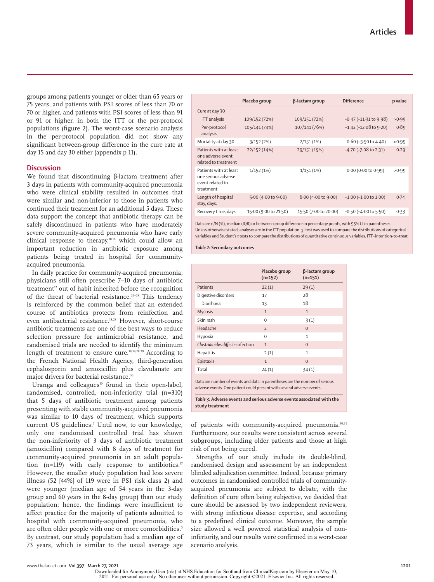groups among patients younger or older than 65 years or 75 years, and patients with PSI scores of less than 70 or 70 or higher, and patients with PSI scores of less than 91 or 91 or higher, in both the ITT or the per-protocol populations (figure 2). The worst-case scenario analysis in the per-protocol population did not show any significant between-group difference in the cure rate at day 15 and day 30 either (appendix p 11).

# **Discussion**

We found that discontinuing β-lactam treatment after 3 days in patients with community-acquired pneumonia who were clinical stability resulted in outcomes that were similar and non-inferior to those in patients who continued their treatment for an additional 5 days. These data support the concept that antibiotic therapy can be safely discontinued in patients who have moderately severe community-acquired pneumonia who have early clinical response to therapy,10,18 which could allow an important reduction in antibiotic exposure among patients being treated in hospital for communityacquired pneumonia.

In daily practice for community-acquired pneumonia, physicians still often prescribe 7–10 days of antibiotic treatment<sup>12</sup> out of habit inherited before the recognition of the threat of bacterial resistance.<sup>26-28</sup> This tendency is reinforced by the common belief that an extended course of antibiotics protects from reinfection and even antibacterial resistance.<sup>18,28</sup> However, short-course antibiotic treatments are one of the best ways to reduce selection pressure for antimicrobial resistance, and randomised trials are needed to identify the minimum length of treatment to ensure cure.18,19,28,29 According to the French National Health Agency, third-generation cephalosporin and amoxicillin plus clavulanate are major drivers for bacterial resistance**.** 30

Uranga and colleagues $10$  found in their open-label, randomised, controlled, non-inferiority trial (n=310) that 5 days of antibiotic treatment among patients presenting with stable community-acquired pneumonia was similar to 10 days of treatment, which supports current US guidelines.7 Until now, to our knowledge, only one randomised controlled trial has shown the non-inferiority of 3 days of antibiotic treatment (amoxicillin) compared with 8 days of treatment for community-acquired pneumonia in an adult population (n=119) with early response to antibiotics.<sup>17</sup> However, the smaller study population had less severe illness (52 [44%] of 119 were in PSI risk class 2) and were younger (median age of 54 years in the 3-day group and 60 years in the 8-day group) than our study population; hence, the findings were insufficient to affect practice for the majority of patients admitted to hospital with community-acquired pneumonia, who are often older people with one or more comorbidities.<sup>5</sup> By contrast, our study population had a median age of 73 years, which is similar to the usual average age

|                                                                                | Placebo group         | β-lactam group        | <b>Difference</b>              | p value |
|--------------------------------------------------------------------------------|-----------------------|-----------------------|--------------------------------|---------|
| Cure at day 30                                                                 |                       |                       |                                |         |
| <b>ITT</b> analysis                                                            | 109/152 (72%)         | 109/151 (72%)         | $-0.47$ ( $-11.31$ to $9.98$ ) | >0.99   |
| Per-protocol<br>analysis                                                       | 105/141 (74%)         | 107/141 (76%)         | $-1.42$ ( $-12.08$ to $9.20$ ) | 0.89    |
| Mortality at day 30                                                            | 3/152(2%)             | 2/151(1%)             | $0.60$ (-3.50 to 4.40)         | >0.99   |
| Patients with at least<br>one adverse event<br>related to treatment            | 22/152 (14%)          | 29/151 (19%)          | $-4.70$ ( $-7.08$ to 2.31)     | 0.29    |
| Patients with at least<br>one serious adverse<br>event related to<br>treatment | 1/152(1%)             | 1/151(1%)             | 0.00 (0.00 to 0.99)            | >0.99   |
| Length of hospital<br>stay, days,                                              | 5.00 (4.00 to 9.00)   | 6.00(4.00 to 9.00)    | $-1.00$ ( $-1.00$ to $1.00$ )  | 0.74    |
| Recovery time, days                                                            | 15.00 (9.00 to 21.50) | 15.50 (7.00 to 20.00) | $-0.50$ ( $-4.00$ to $5.50$ )  | 0.33    |

Data are n/N (%), median (IQR) or between-group difference in percentage points, with 95% CI in parentheses. Unless otherwise stated, analyses are in the ITT population.  $\chi^2$  test was used to compare the distributions of categorical variables and Student's *t* tests to compare the distributions of quantitative continuous variables. ITT=intention-to-treat.

*Table 2:* **Secondary outcomes**

|                                                                                                                                                       | Placebo group<br>$(n=152)$ | $\beta$ -lactam group<br>$(n=151)$ |  |  |
|-------------------------------------------------------------------------------------------------------------------------------------------------------|----------------------------|------------------------------------|--|--|
| Patients                                                                                                                                              | 22(1)                      | 29(1)                              |  |  |
| Digestive disorders                                                                                                                                   | 17                         | 28                                 |  |  |
| Diarrhoea                                                                                                                                             | 13                         | 18                                 |  |  |
| <b>Mycosis</b>                                                                                                                                        | $\mathbf{1}$               | $\mathbf{1}$                       |  |  |
| Skin rash                                                                                                                                             | $\Omega$                   | 3(1)                               |  |  |
| Headache                                                                                                                                              | $\overline{2}$             | $\Omega$                           |  |  |
| Hypoxia                                                                                                                                               | $\Omega$                   | $\mathbf{1}$                       |  |  |
| Clostridioides difficile infection                                                                                                                    | $\mathbf{1}$               | $\Omega$                           |  |  |
| <b>Hepatitis</b>                                                                                                                                      | 2(1)                       | $\mathbf{1}$                       |  |  |
| Epistaxis                                                                                                                                             | $\mathbf{1}$               | $\Omega$                           |  |  |
| Total                                                                                                                                                 | 24(1)                      | 34(1)                              |  |  |
| Data are number of events and data in parentheses are the number of serious<br>adverse events. One patient could present with several adverse events. |                            |                                    |  |  |

*Table 3:* **Adverse events and serious adverse events associated with the study treatment**

of patients with community-acquired pneumonia.<sup>10,31</sup> Furthermore, our results were consistent across several subgroups, including older patients and those at high risk of not being cured.

Strengths of our study include its double-blind, randomised design and assessment by an independent blinded adjudication committee. Indeed, because primary outcomes in randomised controlled trials of communityacquired pneumonia are subject to debate, with the definition of cure often being subjective, we decided that cure should be assessed by two independent reviewers, with strong infectious disease expertise, and according to a predefined clinical outcome. Moreover, the sample size allowed a well powered statistical analysis of noninferiority, and our results were confirmed in a worst-case scenario analysis.

Downloaded for Anonymous User (n/a) at NHS Education for Scotland from ClinicalKey.com by Elsevier on May 10, 2021. For personal use only. No other uses without permission. Copyright ©2021. Elsevier Inc. All rights reserved.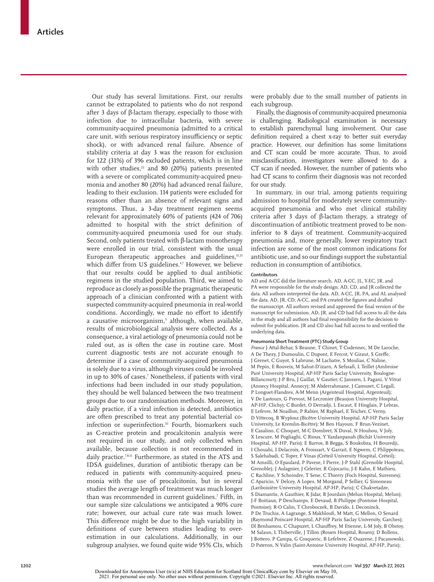Our study has several limitations. First, our results cannot be extrapolated to patients who do not respond after 3 days of β-lactam therapy, especially to those with infection due to intracellular bacteria, with severe community-acquired pneumonia (admitted to a critical care unit, with serious respiratory insufficiency or septic shock), or with advanced renal failure. Absence of stability criteria at day 3 was the reason for exclusion for 122 (31%) of 396 excluded patients, which is in line with other studies, $22$  and 80 (20%) patients presented with a severe or complicated community-acquired pneumonia and another 80 (20%) had advanced renal failure, leading to their exclusion. 114 patients were excluded for reasons other than an absence of relevant signs and symptoms. Thus, a 3-day treatment regimen seems relevant for approximately 60% of patients (424 of 706) admitted to hospital with the strict definition of community-acquired pneumonia used for our study. Second, only patients treated with β-lactam monotherapy were enrolled in our trial, consistent with the usual European therapeutic approaches and guidelines,<sup>11,21</sup> which differ from US guidelines.<sup>4,7</sup> However, we believe that our results could be applied to dual antibiotic regimens in the studied population. Third, we aimed to reproduce as closely as possible the pragmatic therapeutic approach of a clinician confronted with a patient with suspected community-acquired pneumonia in real-world conditions. Accordingly, we made no effort to identify a causative microorganism,<sup>5</sup> although, when available, results of microbiological analysis were collected. As a consequence, a viral aetiology of pneumonia could not be ruled out, as is often the case in routine care. Most current diagnostic tests are not accurate enough to determine if a case of community-acquired pneumonia is solely due to a virus, although viruses could be involved in up to 30% of cases.7 Nonetheless, if patients with viral infections had been included in our study population, they should be well balanced between the two treatment groups due to our randomisation methods. Moreover, in daily practice, if a viral infection is detected, antibiotics are often prescribed to treat any potential bacterial coinfection or superinfection.<sup>32</sup> Fourth, biomarkers such as C-reactive protein and procalcitonin analysis were not required in our study, and only collected when available, because collection is not recommended in daily practice.<sup>7,8,11</sup> Furthermore, as stated in the ATS and IDSA guidelines, duration of antibiotic therapy can be reduced in patients with community-acquired pneumonia with the use of procalcitonin, but in several studies the average length of treatment was much longer than was recommended in current guidelines.7 Fifth, in our sample size calculations we anticipated a 90% cure rate; however, our actual cure rate was much lower. This difference might be due to the high variability in definitions of cure between studies leading to overestimation in our calculations. Additionally, in our subgroup analyses, we found quite wide 95% CIs, which

were probably due to the small number of patients in each subgroup.

Finally, the diagnosis of community-acquired pneumonia is challenging. Radiological examination is necessary to establish parenchymal lung involvement. Our case definition required a chest x-ray to better suit everyday practice. However, our definition has some limitations and CT scan could be more accurate. Thus, to avoid misclassification, investigators were allowed to do a CT scan if needed. However, the number of patients who had CT scans to confirm their diagnosis was not recorded for our study.

In summary, in our trial, among patients requiring admission to hospital for moderately severe communityacquired pneumonia and who met clinical stability criteria after 3 days of β-lactam therapy, a strategy of discontinuation of antibiotic treatment proved to be noninferior to 8 days of treatment. Community-acquired pneumonia and, more generally, lower respiratory tract infection are some of the most common indications for antibiotic use, and so our findings support the substantial reduction in consumption of antibiotics.

## **Contributors**

AD and A-CC did the literature search. AD, A-CC, JL, Y-EC, JR, and PA were responsible for the study design. AD, CD, and JR collected the data. All authors interpreted the data. AD, A-CC, JR, PA, and AL analysed the data. AD, JR, CD, A-CC, and PA created the figures and drafted the manuscript. All authors revised and approved the final version of the manuscript for submission. AD, JR, and CD had full access to all the data in the study and all authors had final responsibility for the decision to submit for publication. JR and CD also had full access to and verified the underlying data.

#### **Pneumonia Short Treatment (PTC) Study Group**

*France* J Attal-Behar, S Beaune, T Chinet, T Cudennec, M De Laroche, A De Thezy, J Dumoulin, C Dupont, E Fercot, V Giraut, S Greffe, J Grenet, C Guyot, S Labrune, M Lachatre, S Moulias, C Naline, M Pepin, E Rouveix, M Sahut-D'izarn, A Sefssafi, L Teillet (Ambroise Paré University Hospital, AP-HP Paris Saclay University, Boulogne-Billancourt); J-P Bru, J Gaillat, V Gautier, C Janssen, L Pagani, V Vitrat (Annecy Hospital, Annecy); M Abderrahmane, J Camuset, C Legall, P Longuet-Flandres, A-M Menn (Argenteuil Hospital, Argenteuil); V De Lastours, G Prevost, M Lecronier (Beaujon University Hospital, AP-HP, Clichy); C Burdet, O Derradji, L Escaut, E Hinglais, P Lebras, E Lefevre, M Noaillon, P Rabier, M Raphael, E Teicher, C Verny, D Vittecoq, B Wyplosz (Bicêtre University Hospital, AP-HP Paris Saclay University, Le Kremlin-Bicêtre); M Ben Hayoun, F Brun-Vezinet, E Casalino, C Choquet, M-C Dombret, X Duval, N Houhou, V Joly, X Lescure, M Pogliaghi, C Rioux, Y Yazdanpanah (Bichât University Hospital, AP-HP, Paris); E Barros, B Begga, S Boukobza, H Bouredji, I Chouahi, I Delacroix, A Froissart, V Garrait, E Ngwem, C Phlippoteau, S Salehabadi, C Toper, F Vinas (Créteil University Hospital, Créteil); M Amsilli, O Epaulard, P Pavese, I Pierre, J-P Stahl (Grenoble Hospital, Grenoble); J Aulagnier, J Celerier, R Cojocariu, J-E Kahn, E Mathieu, C Rachline, Y Schoindre, T Sene, C Thierry (Foch Hospital, Suresnes); C Aparicio, V Delcey, A Lopes, M Morgand, P Sellier, G Simoneau (Lariboisière University Hospital, AP-HP, Paris); C Chakvetadze, S Diamantis, A Gauthier, K Jidar, B Jourdain (Melun Hospital, Melun); J-F Boitiaux, P Deschamps, E Devaud, B Philippe (Pontoise Hospital, Pontoise); R-O Calin, T Chroboczek, B Davido, L Deconinck, P De Truchis, A Lagrange, S Makhloufi, M Matt, G Mellon, O Senard (Raymond Poincaré Hospital, AP-HP Paris Saclay University, Garches); Dl Benhamou, C Chapuzet, L Chauffrey, M Etienne, L-M Joly, B Obstoy, M Salaun, L Thiberville, J Tillon (Rouen Hospital, Rouen); D Bollens, J Bottero, P Campa, G Cosqueric, B Lefebvre, Z Ouazene, J Pacanowski, D Pateron, N Valin (Saint-Antoine University Hospital, AP-HP, Paris);

Downloaded for Anonymous User (n/a) at NHS Education for Scotland from ClinicalKey.com by Elsevier on May 10, 2021. For personal use only. No other uses without permission. Copyright ©2021. Elsevier Inc. All rights reserved.